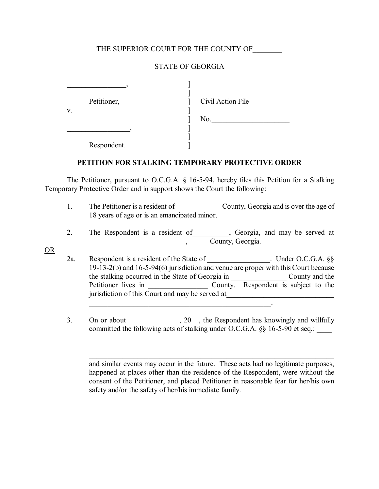### THE SUPERIOR COURT FOR THE COUNTY OF

## STATE OF GEORGIA

| Petitioner, | Civil Action File |
|-------------|-------------------|
| V.          | No.               |
|             |                   |
| Respondent. |                   |

### **PETITION FOR STALKING TEMPORARY PROTECTIVE ORDER**

 The Petitioner, pursuant to O.C.G.A. ß 16-5-94, hereby files this Petition for a Stalking Temporary Protective Order and in support shows the Court the following:

- 1. The Petitioner is a resident of County, Georgia and is over the age of 18 years of age or is an emancipated minor.
- 2. The Respondent is a resident of Seorgia, and may be served at  $\Box$  County, Georgia.
- OR
- 2a. Respondent is a resident of the State of \_\_\_\_\_\_\_\_\_\_\_\_\_\_\_\_\_. Under O.C.G.A. ßß 19-13-2(b) and 16-5-94(6) jurisdiction and venue are proper with this Court because the stalking occurred in the State of Georgia in \_\_\_\_\_\_\_\_\_\_\_\_\_\_\_ County and the Petitioner lives in \_\_\_\_\_\_\_\_\_\_\_\_\_\_\_\_ County. Respondent is subject to the jurisdiction of this Court and may be served at  $\mathcal{L}_\text{max}$  and  $\mathcal{L}_\text{max}$  and  $\mathcal{L}_\text{max}$  and  $\mathcal{L}_\text{max}$  and  $\mathcal{L}_\text{max}$
- 3. On or about \_\_\_\_\_\_\_\_\_, 20\_, the Respondent has knowingly and willfully committed the following acts of stalking under O.C.G.A. §§ 16-5-90 et seq.:

 and similar events may occur in the future. These acts had no legitimate purposes, happened at places other than the residence of the Respondent, were without the consent of the Petitioner, and placed Petitioner in reasonable fear for her/his own safety and/or the safety of her/his immediate family.

 $\mathcal{L}_\mathcal{L}$  , and the contribution of the contribution of the contribution of the contribution of the contribution of the contribution of the contribution of the contribution of the contribution of the contribution of  $\mathcal{L}_\mathcal{L}$  , and the contribution of the contribution of the contribution of the contribution of the contribution of the contribution of the contribution of the contribution of the contribution of the contribution of  $\mathcal{L}_\text{max} = \mathcal{L}_\text{max} = \mathcal{L}_\text{max} = \mathcal{L}_\text{max} = \mathcal{L}_\text{max} = \mathcal{L}_\text{max} = \mathcal{L}_\text{max} = \mathcal{L}_\text{max} = \mathcal{L}_\text{max} = \mathcal{L}_\text{max} = \mathcal{L}_\text{max} = \mathcal{L}_\text{max} = \mathcal{L}_\text{max} = \mathcal{L}_\text{max} = \mathcal{L}_\text{max} = \mathcal{L}_\text{max} = \mathcal{L}_\text{max} = \mathcal{L}_\text{max} = \mathcal{$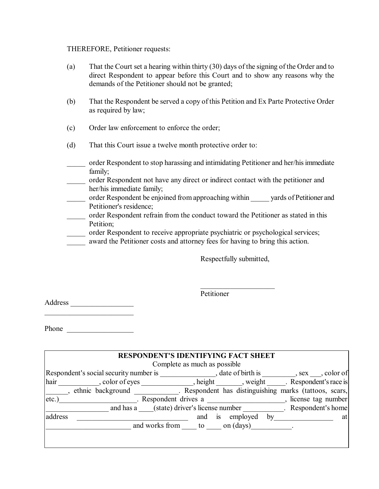#### THEREFORE, Petitioner requests:

- (a) That the Court set a hearing within thirty (30) days of the signing of the Order and to direct Respondent to appear before this Court and to show any reasons why the demands of the Petitioner should not be granted;
- (b) That the Respondent be served a copy of this Petition and Ex Parte Protective Order as required by law;
- (c) Order law enforcement to enforce the order;
- (d) That this Court issue a twelve month protective order to:
- \_\_\_\_\_ order Respondent to stop harassing and intimidating Petitioner and her/his immediate family;
- \_\_\_\_\_ order Respondent not have any direct or indirect contact with the petitioner and her/his immediate family;
- \_\_\_\_\_ order Respondent be enjoined from approaching within \_\_\_\_\_ yards of Petitioner and Petitioner's residence;
- \_\_\_\_\_ order Respondent refrain from the conduct toward the Petitioner as stated in this Petition;
- \_\_\_\_\_ order Respondent to receive appropriate psychiatric or psychological services;
- award the Petitioner costs and attorney fees for having to bring this action.

Respectfully submitted,

 $\mathcal{L}_\text{max}$ 

Petitioner

Address \_\_\_\_\_\_\_\_\_\_\_\_\_\_\_\_\_

Phone \_\_\_\_\_\_\_\_\_\_\_\_\_\_\_\_\_\_

 $\mathcal{L}_\text{max}$  , where  $\mathcal{L}_\text{max}$  and  $\mathcal{L}_\text{max}$ 

| <b>RESPONDENT'S IDENTIFYING FACT SHEET</b>                                                                 |                                          |    |  |    |
|------------------------------------------------------------------------------------------------------------|------------------------------------------|----|--|----|
| Complete as much as possible                                                                               |                                          |    |  |    |
| Respondent's social security number is , date of birth is , sex , color of                                 |                                          |    |  |    |
| hair, color of eyes                                                                                        | , height , weight . Respondent's race is |    |  |    |
| ethnic background ethnic background . Respondent has distinguishing marks (tattoos, scars,<br>$\mathbf{I}$ |                                          |    |  |    |
| $etc.$ )<br>. Respondent drives a<br>license tag number                                                    |                                          |    |  |    |
| and has a (state) driver's license number Respondent's home                                                |                                          |    |  |    |
| address                                                                                                    | is employed<br>and                       | by |  | at |
|                                                                                                            | and works from to on (days) [100].       |    |  |    |
|                                                                                                            |                                          |    |  |    |
|                                                                                                            |                                          |    |  |    |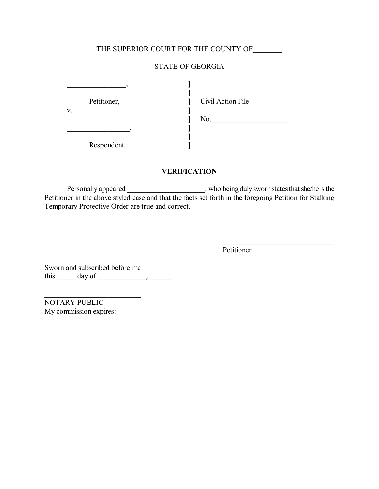# THE SUPERIOR COURT FOR THE COUNTY OF \_\_\_\_\_\_\_\_

## STATE OF GEORGIA

| Petitioner, | Civil Action File |
|-------------|-------------------|
| V.          | No.               |
|             |                   |
| Respondent. |                   |

## **VERIFICATION**

Personally appeared \_\_\_\_\_\_\_\_\_\_\_\_\_\_\_\_\_\_\_\_\_\_, who being duly sworn states that she/he is the Petitioner in the above styled case and that the facts set forth in the foregoing Petition for Stalking Temporary Protective Order are true and correct.

**Petitioner** 

 $\mathcal{L}_\text{max}$  , where  $\mathcal{L}_\text{max}$  and  $\mathcal{L}_\text{max}$ 

Sworn and subscribed before me this  $\_\_\_\_\$  day of  $\_\_\_\_\_\_\_\$ 

 $\mathcal{L}$ 

NOTARY PUBLIC My commission expires: